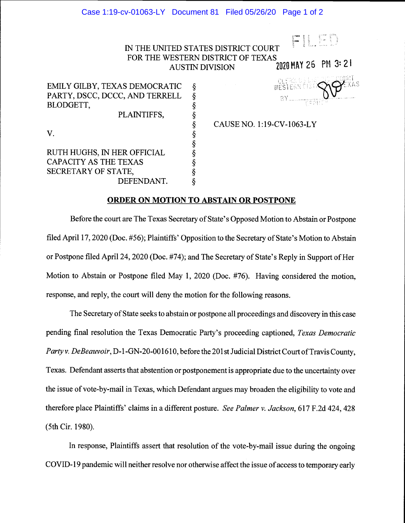## IN THE UNITED STATES DISTRICT COURT  $\begin{bmatrix} \mathsf{F} \mid \mathsf{L} \in \mathbb{D} \end{bmatrix}$ FOR THE WESTERN DISTRICT OF TEXAS AUSTIN DIVISION 2020 MAY 26 PM 3:21

EMILY GILBY, TEXAS DEMOCRATIC § PARTY, DSCC, DCCC, AND TERRELL BLODGETT, PLAINTIFFS, V. S § RUTH HUGHS, IN HER OFFICIAL CAPACITY AS THE TEXAS SECRETARY OF STATE, §

DEFENDANT.

## § CAUSE NO. 1 :19-CV-1063-LY

**CLERKES** 

부호한

## ORDER ON MOTION TO ABSTAIN OR POSTPONE

Before the court are The Texas Secretary of State's Opposed Motion to Abstain or Postpone filed April 17, 2020 (Doc. #56); Plaintiffs' Opposition to the Secretary of State's Motion to Abstain or Postpone filed April 24, 2020 (Doe. #74); and The Secretary of State's Reply in Support of Her Motion to Abstain or Postpone filed May 1, 2020 (Doe. #76). Having considered the motion, response, and reply, the court will deny the motion for the following reasons.

The Secretary of State seeks to abstain or postpone all proceedings and discovery in this case pending final resolution the Texas Democratic Party's proceeding captioned, Texas Democratic Party v. DeBeauvoir, D-1-GN-20-001610, before the 201st Judicial District Court of Travis County, Texas. Defendant asserts that abstention or postponement is appropriate due to the uncertainty over the issue of vote-by-mail in Texas, which Defendant argues may broaden the eligibility to vote and therefore place Plaintiffs' claims in a different posture. See Palmer v. Jackson, 617 F.2d 424, 428 (5th Cir. 1980).

In response, Plaintiffs assert that resolution of the vote-by-mail issue during the ongoing COVID- 19 pandemic will neither resolve nor otherwise affect the issue of access to temporary early